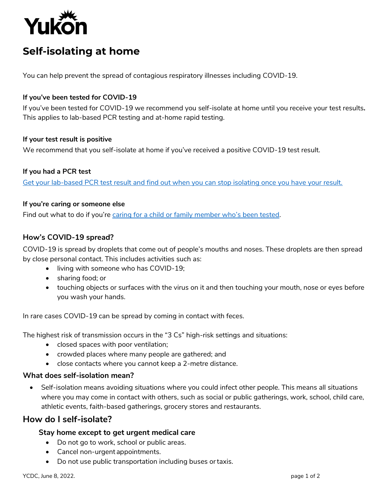

# **Self-isolating at home**

You can help prevent the spread of contagious respiratory illnesses including COVID-19.

#### **If you've been tested for COVID-19**

If you've been tested for COVID-19 we recommend you self-isolate at home until you receive your test results**.** This applies to lab-based PCR testing and at-home rapid testing.

#### **If your test result is positive**

We recommend that you self-isolate at home if you've received a positive COVID-19 test result.

## **If you had a PCR test**

[Get your lab-based PCR test result and find out when you can stop isolating once you have your result.](https://yukon.ca/test-results-covid-19)

#### **If you're caring or someone else**

Find out what to do if you're [caring for a child or family member who](https://yukon.ca/en/information-caregiving-coronavirus)'s been tested.

## **How's COVID-19 spread?**

COVID-19 is spread by droplets that come out of people's mouths and noses. These droplets are then spread by close personal contact. This includes activities such as:

- living with someone who has COVID-19;
- sharing food; or
- touching objects or surfaces with the virus on it and then touching your mouth, nose or eyes before you wash your hands.

In rare cases COVID-19 can be spread by coming in contact with feces.

The highest risk of transmission occurs in the "3 Cs" high-risk settings and situations:

- closed spaces with poor ventilation;
- crowded places where many people are gathered; and
- close contacts where you cannot keep a 2-metre distance.

## **What does self-isolation mean?**

 Self-isolation means avoiding situations where you could infect other people. This means all situations where you may come in contact with others, such as social or public gatherings, work, school, child care, athletic events, faith-based gatherings, grocery stores and restaurants.

# **How do I self-isolate?**

## **Stay home except to get urgent medical care**

- Do not go to work, school or public areas.
- Cancel non-urgent appointments.
- Do not use public transportation including buses ortaxis.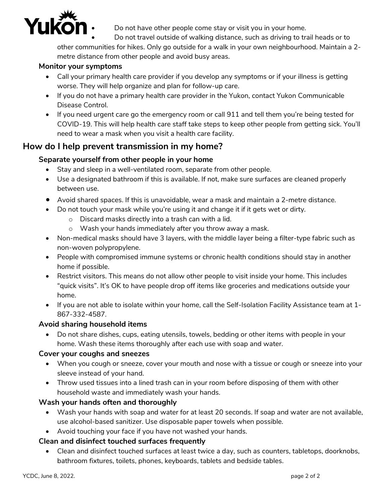

Do not have other people come stay or visit you in your home.

Do not travel outside of walking distance, such as driving to trail heads or to

other communities for hikes. Only go outside for a walk in your own neighbourhood. Maintain a 2 metre distance from other people and avoid busy areas.

# **Monitor your symptoms**

- Call your primary health care provider if you develop any symptoms or if your illness is getting worse. They will help organize and plan for follow-up care.
- If you do not have a primary health care provider in the Yukon, contact Yukon Communicable Disease Control.
- If you need urgent care go the emergency room or call 911 and tell them you're being tested for COVID-19. This will help health care staff take steps to keep other people from getting sick. You'll need to wear a mask when you visit a health care facility.

# **How do I help prevent transmission in my home?**

# **Separate yourself from other people in your home**

- Stay and sleep in a well-ventilated room, separate from other people.
- Use a designated bathroom if this is available. If not, make sure surfaces are cleaned properly between use.
- Avoid shared spaces. If this is unavoidable, wear a mask and maintain a 2-metre distance.
- Do not touch your mask while you're using it and change it if it gets wet or dirty.
	- o Discard masks directly into a trash can with a lid.
	- o Wash your hands immediately after you throw away a mask.
- Non-medical masks should have 3 layers, with the middle layer being a filter-type fabric such as non-woven polypropylene.
- People with compromised immune systems or chronic health conditions should stay in another home if possible.
- Restrict visitors. This means do not allow other people to visit inside your home. This includes "quick visits". It's OK to have people drop off items like groceries and medications outside your home.
- If you are not able to isolate within your home, call the Self-Isolation Facility Assistance team at 1- 867-332-4587.

## **Avoid sharing household items**

 Do not share dishes, cups, eating utensils, towels, bedding or other items with people in your home. Wash these items thoroughly after each use with soap and water.

## **Cover your coughs and sneezes**

- When you cough or sneeze, cover your mouth and nose with a tissue or cough or sneeze into your sleeve instead of your hand.
- Throw used tissues into a lined trash can in your room before disposing of them with other household waste and immediately wash your hands.

# **Wash your hands often and thoroughly**

- Wash your hands with soap and water for at least 20 seconds. If soap and water are not available, use alcohol-based sanitizer. Use disposable paper towels when possible.
- Avoid touching your face if you have not washed your hands.

# **Clean and disinfect touched surfaces frequently**

 Clean and disinfect touched surfaces at least twice a day, such as counters, tabletops, doorknobs, bathroom fixtures, toilets, phones, keyboards, tablets and bedside tables.